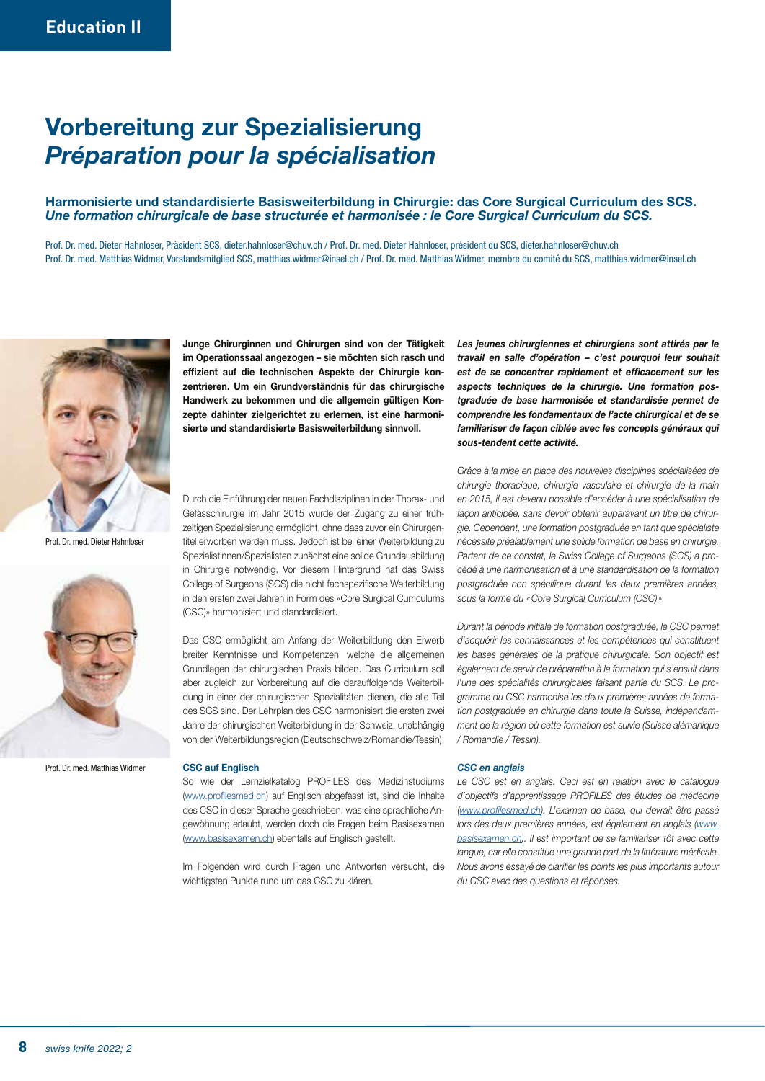# Vorbereitung zur Spezialisierung *Préparation pour la spécialisation*

### Harmonisierte und standardisierte Basisweiterbildung in Chirurgie: das Core Surgical Curriculum des SCS. *Une formation chirurgicale de base structurée et harmonisée : le Core Surgical Curriculum du SCS.*

Prof. Dr. med. Dieter Hahnloser, Präsident SCS, dieter.hahnloser@chuv.ch / Prof. Dr. med. Dieter Hahnloser, président du SCS, dieter.hahnloser@chuv.ch Prof. Dr. med. Matthias Widmer, Vorstandsmitglied SCS, matthias.widmer@insel.ch / Prof. Dr. med. Matthias Widmer, membre du comité du SCS, matthias.widmer@insel.ch



Prof. Dr. med. Dieter Hahnlose



Prof. Dr. med. Matthias Widmer

Junge Chirurginnen und Chirurgen sind von der Tätigkeit im Operationssaal angezogen – sie möchten sich rasch und effizient auf die technischen Aspekte der Chirurgie konzentrieren. Um ein Grundverständnis für das chirurgische Handwerk zu bekommen und die allgemein gültigen Konzepte dahinter zielgerichtet zu erlernen, ist eine harmonisierte und standardisierte Basisweiterbildung sinnvoll.

Durch die Einführung der neuen Fachdisziplinen in der Thorax- und Gefässchirurgie im Jahr 2015 wurde der Zugang zu einer frühzeitigen Spezialisierung ermöglicht, ohne dass zuvor ein Chirurgentitel erworben werden muss. Jedoch ist bei einer Weiterbildung zu Spezialistinnen/Spezialisten zunächst eine solide Grundausbildung in Chirurgie notwendig. Vor diesem Hintergrund hat das Swiss College of Surgeons (SCS) die nicht fachspezifische Weiterbildung in den ersten zwei Jahren in Form des «Core Surgical Curriculums (CSC)» harmonisiert und standardisiert.

Das CSC ermöglicht am Anfang der Weiterbildung den Erwerb breiter Kenntnisse und Kompetenzen, welche die allgemeinen Grundlagen der chirurgischen Praxis bilden. Das Curriculum soll aber zugleich zur Vorbereitung auf die darauffolgende Weiterbildung in einer der chirurgischen Spezialitäten dienen, die alle Teil des SCS sind. Der Lehrplan des CSC harmonisiert die ersten zwei Jahre der chirurgischen Weiterbildung in der Schweiz, unabhängig von der Weiterbildungsregion (Deutschschweiz/Romandie/Tessin).

### CSC auf Englisch

So wie der Lernzielkatalog PROFILES des Medizinstudiums [\(www.profilesmed.ch](http://www.profilesmed.ch)) auf Englisch abgefasst ist, sind die Inhalte des CSC in dieser Sprache geschrieben, was eine sprachliche Angewöhnung erlaubt, werden doch die Fragen beim Basisexamen [\(www.basisexamen.ch\)](http://www.basisexamen.ch) ebenfalls auf Englisch gestellt.

Im Folgenden wird durch Fragen und Antworten versucht, die wichtigsten Punkte rund um das CSC zu klären.

Les jeunes chirurgiennes et chirurgiens sont attirés par le *travail en salle d'opération – c'est pourquoi leur souhait est de se concentrer rapidement et efficacement sur les aspects techniques de la chirurgie. Une formation postgraduée de base harmonisée et standardisée permet de comprendre les fondamentaux de l'acte chirurgical et de se familiariser de façon ciblée avec les concepts généraux qui sous-tendent cette activité.*

*Grâce à la mise en place des nouvelles disciplines spécialisées de chirurgie thoracique, chirurgie vasculaire et chirurgie de la main en 2015, il est devenu possible d'accéder à une spécialisation de façon anticipée, sans devoir obtenir auparavant un titre de chirurgie. Cependant, une formation postgraduée en tant que spécialiste nécessite préalablement une solide formation de base en chirurgie. Partant de ce constat, le Swiss College of Surgeons (SCS) a procédé à une harmonisation et à une standardisation de la formation postgraduée non spécifique durant les deux premières années, sous la forme du «Core Surgical Curriculum (CSC) ».* 

*Durant la période initiale de formation postgraduée, le CSC permet d'acquérir les connaissances et les compétences qui constituent*  les bases générales de la pratique chirurgicale. Son objectif est *également de servir de préparation à la formation qui s'ensuit dans l'une des spécialités chirurgicales faisant partie du SCS. Le programme du CSC harmonise les deux premières années de formation postgraduée en chirurgie dans toute la Suisse, indépendamment de la région où cette formation est suivie (Suisse alémanique / Romandie / Tessin).*

### *CSC en anglais*

*Le CSC est en anglais. Ceci est en relation avec le catalogue d'objectifs d'apprentissage PROFILES des études de médecine ([www.profilesmed.ch\)](http://www.profilesmed.ch). L'examen de base, qui devrait être passé lors des deux premières années, est également en anglais [\(www.](http://www.basisexamen.ch) [basisexamen.ch](http://www.basisexamen.ch)). Il est important de se familiariser tôt avec cette langue, car elle constitue une grande part de la littérature médicale. Nous avons essayé de clarifier les points les plus importants autour du CSC avec des questions et réponses.*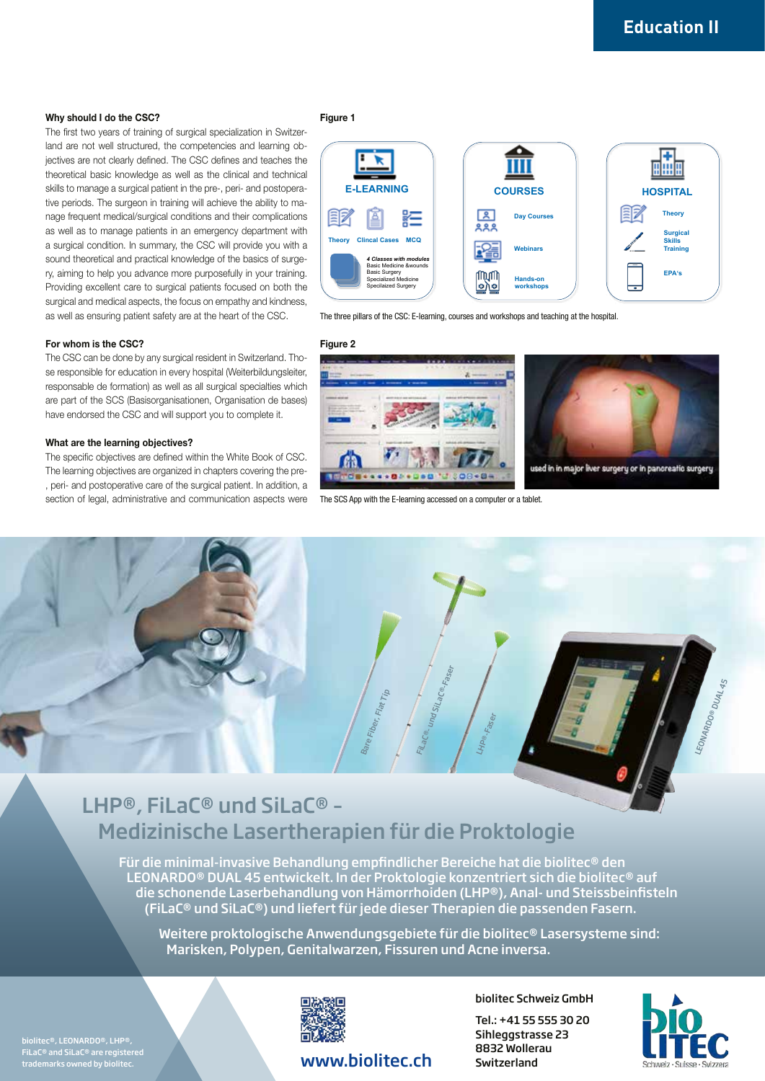### Why should I do the CSC?

The first two years of training of surgical specialization in Switzerland are not well structured, the competencies and learning objectives are not clearly defined. The CSC defines and teaches the theoretical basic knowledge as well as the clinical and technical skills to manage a surgical patient in the pre-, peri- and postoperative periods. The surgeon in training will achieve the ability to manage frequent medical/surgical conditions and their complications as well as to manage patients in an emergency department with a surgical condition. In summary, the CSC will provide you with a sound theoretical and practical knowledge of the basics of surgery, aiming to help you advance more purposefully in your training. Providing excellent care to surgical patients focused on both the surgical and medical aspects, the focus on empathy and kindness, as well as ensuring patient safety are at the heart of the CSC.

### Figure 1



The three pillars of the CSC: E-learning, courses and workshops and teaching at the hospital.

### For whom is the CSC?

The CSC can be done by any surgical resident in Switzerland. Those responsible for education in every hospital (Weiterbildungsleiter, responsable de formation) as well as all surgical specialties which are part of the SCS (Basisorganisationen, Organisation de bases) have endorsed the CSC and will support you to complete it.

### What are the learning objectives?

The specific objectives are defined within the White Book of CSC. The learning objectives are organized in chapters covering the pre- , peri- and postoperative care of the surgical patient. In addition, a section of legal, administrative and communication aspects were





The SCS App with the E-learning accessed on a computer or a tablet.



## LHP®, FiLaC® und SiLaC® – Medizinische Lasertherapien für die Proktologie

Für die minimal-invasive Behandlung empfindlicher Bereiche hat die biolitec® den LEONARDO® DUAL 45 entwickelt. In der Proktologie konzentriert sich die biolitec® auf die schonende Laserbehandlung von Hämorrhoiden (LHP®), Anal- und Steissbeinfisteln (FiLaC® und SiLaC®) und liefert für jede dieser Therapien die passenden Fasern.

Weitere proktologische Anwendungsgebiete für die biolitec® Lasersysteme sind: Marisken, Polypen, Genitalwarzen, Fissuren und Acne inversa.

biolitec®, LEONARDO®, LHP®, FiLaC® and SiLaC® are registered trademarks owned by biolitec.



### www.biolitec.ch Switzerland

biolitec Schweiz GmbH

Tel.: +41 55 555 30 20 Sihleggstrasse 23 8832 Wollerau